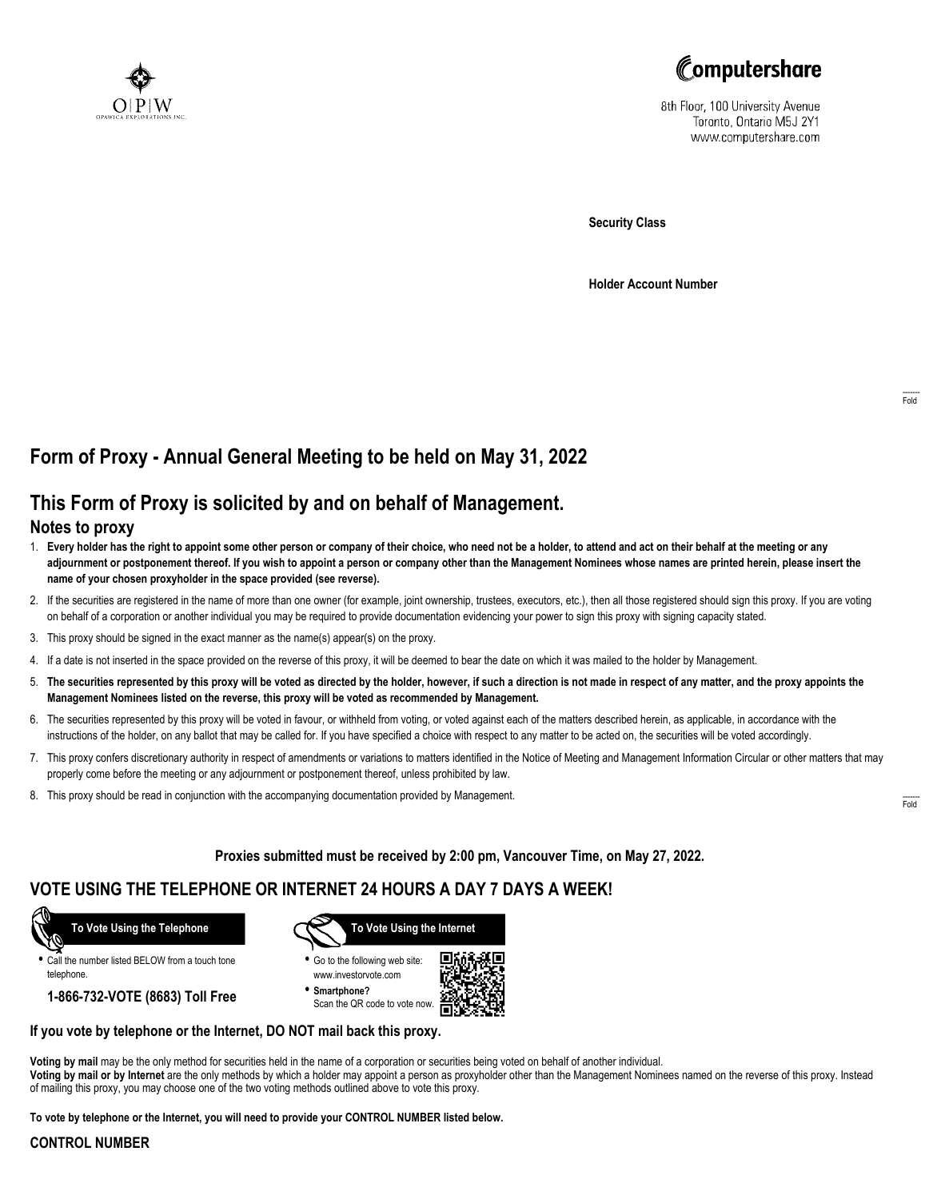



8th Floor, 100 University Avenue Toronto, Ontario M5J 2Y1 www.computershare.com

**Security Class**

**Holder Account Number**

# **Form of Proxy - Annual General Meeting to be held on May 31, 2022**

## **This Form of Proxy is solicited by and on behalf of Management.**

### **Notes to proxy**

- 1. **Every holder has the right to appoint some other person or company of their choice, who need not be a holder, to attend and act on their behalf at the meeting or any adjournment or postponement thereof. If you wish to appoint a person or company other than the Management Nominees whose names are printed herein, please insert the name of your chosen proxyholder in the space provided (see reverse).**
- 2. If the securities are registered in the name of more than one owner (for example, joint ownership, trustees, executors, etc.), then all those registered should sign this proxy. If you are voting on behalf of a corporation or another individual you may be required to provide documentation evidencing your power to sign this proxy with signing capacity stated.
- 3. This proxy should be signed in the exact manner as the name(s) appear(s) on the proxy.
- 4. If a date is not inserted in the space provided on the reverse of this proxy, it will be deemed to bear the date on which it was mailed to the holder by Management.
- 5. **The securities represented by this proxy will be voted as directed by the holder, however, if such a direction is not made in respect of any matter, and the proxy appoints the Management Nominees listed on the reverse, this proxy will be voted as recommended by Management.**
- 6. The securities represented by this proxy will be voted in favour, or withheld from voting, or voted against each of the matters described herein, as applicable, in accordance with the instructions of the holder, on any ballot that may be called for. If you have specified a choice with respect to any matter to be acted on, the securities will be voted accordingly.
- 7. This proxy confers discretionary authority in respect of amendments or variations to matters identified in the Notice of Meeting and Management Information Circular or other matters that may properly come before the meeting or any adjournment or postponement thereof, unless prohibited by law.
- 8. This proxy should be read in conjunction with the accompanying documentation provided by Management.

**Proxies submitted must be received by 2:00 pm, Vancouver Time, on May 27, 2022.**

## **VOTE USING THE TELEPHONE OR INTERNET 24 HOURS A DAY 7 DAYS A WEEK!**



**•** Call the number listed BELOW from a touch tone telephone.

**1-866-732-VOTE (8683) Toll Free**



**•** Go to the following web site: www.investorvote.com

**• Smartphone?** Scan the QR code to vote now.



#### **If you vote by telephone or the Internet, DO NOT mail back this proxy.**

**Voting by mail** may be the only method for securities held in the name of a corporation or securities being voted on behalf of another individual. **Voting by mail or by Internet** are the only methods by which a holder may appoint a person as proxyholder other than the Management Nominees named on the reverse of this proxy. Instead of mailing this proxy, you may choose one of the two voting methods outlined above to vote this proxy.

**To vote by telephone or the Internet, you will need to provide your CONTROL NUMBER listed below.**

#### **CONTROL NUMBER**